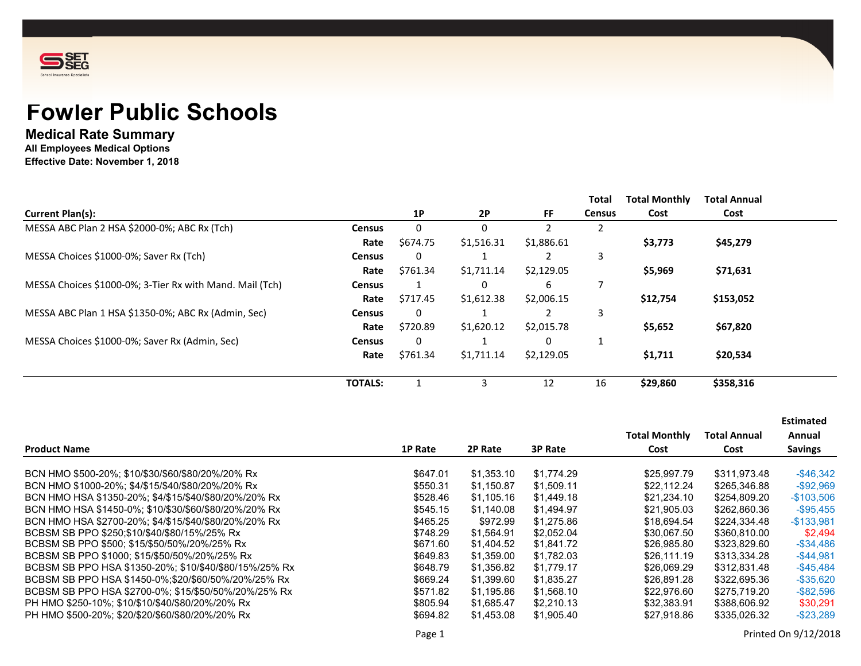

# **Fowler Public Schools**

## **Medical Rate Summary**

**All Employees Medical Options**

**Effective Date: November 1, 2018**

|                                                          |                |           |            |            | Total         | <b>Total Monthly</b> | <b>Total Annual</b> |
|----------------------------------------------------------|----------------|-----------|------------|------------|---------------|----------------------|---------------------|
| <b>Current Plan(s):</b>                                  |                | <b>1P</b> | <b>2P</b>  | FF.        | <b>Census</b> | Cost                 | Cost                |
| MESSA ABC Plan 2 HSA \$2000-0%; ABC Rx (Tch)             | <b>Census</b>  | 0         | 0          |            | 2             |                      |                     |
|                                                          | Rate           | \$674.75  | \$1,516.31 | \$1,886.61 |               | \$3,773              | \$45,279            |
| MESSA Choices \$1000-0%; Saver Rx (Tch)                  | <b>Census</b>  | 0         |            |            | 3             |                      |                     |
|                                                          | Rate           | \$761.34  | \$1,711.14 | \$2,129.05 |               | \$5,969              | \$71,631            |
| MESSA Choices \$1000-0%; 3-Tier Rx with Mand. Mail (Tch) | <b>Census</b>  |           | 0          | 6          |               |                      |                     |
|                                                          | Rate           | \$717.45  | \$1,612.38 | \$2,006.15 |               | \$12,754             | \$153,052           |
| MESSA ABC Plan 1 HSA \$1350-0%; ABC Rx (Admin, Sec)      | <b>Census</b>  | 0         |            |            | 3             |                      |                     |
|                                                          | Rate           | \$720.89  | \$1,620.12 | \$2,015.78 |               | \$5,652              | \$67,820            |
| MESSA Choices \$1000-0%; Saver Rx (Admin, Sec)           | <b>Census</b>  | 0         |            | 0          |               |                      |                     |
|                                                          | Rate           | \$761.34  | \$1,711.14 | \$2,129.05 |               | \$1,711              | \$20,534            |
|                                                          | <b>TOTALS:</b> |           | 3          | 12         | 16            | \$29,860             | \$358,316           |

|                                                        |          |            |                |                      |                     | <b>Estimated</b> |
|--------------------------------------------------------|----------|------------|----------------|----------------------|---------------------|------------------|
|                                                        |          |            |                | <b>Total Monthly</b> | <b>Total Annual</b> | Annual           |
| <b>Product Name</b>                                    | 1P Rate  | 2P Rate    | <b>3P Rate</b> | Cost                 | Cost                | <b>Savings</b>   |
| BCN HMO \$500-20%; \$10/\$30/\$60/\$80/20%/20% Rx      | \$647.01 | \$1,353.10 | \$1,774.29     | \$25.997.79          | \$311,973.48        | $-$ \$46,342     |
| BCN HMO \$1000-20%; \$4/\$15/\$40/\$80/20%/20% Rx      | \$550.31 | \$1,150.87 | \$1,509.11     | \$22.112.24          | \$265,346.88        | $-$ \$92,969     |
| BCN HMO HSA \$1350-20%; \$4/\$15/\$40/\$80/20%/20% Rx  | \$528.46 | \$1.105.16 | \$1,449.18     | \$21,234.10          | \$254.809.20        | $-$103,506$      |
| BCN HMO HSA \$1450-0%: \$10/\$30/\$60/\$80/20%/20% Rx  | \$545.15 | \$1.140.08 | \$1,494.97     | \$21.905.03          | \$262.860.36        | $-$ \$95,455     |
| BCN HMO HSA \$2700-20%: \$4/\$15/\$40/\$80/20%/20% Rx  | \$465.25 | \$972.99   | \$1.275.86     | \$18.694.54          | \$224.334.48        | $-$ \$133,981    |
| BCBSM SB PPO \$250;\$10/\$40/\$80/15%/25% Rx           | \$748.29 | \$1.564.91 | \$2.052.04     | \$30.067.50          | \$360,810,00        | \$2.494          |
| BCBSM SB PPO \$500; \$15/\$50/50%/20%/25% Rx           | \$671.60 | \$1,404.52 | \$1,841.72     | \$26,985.80          | \$323,829.60        | $-$ \$34,486     |
| BCBSM SB PPO \$1000; \$15/\$50/50%/20%/25% Rx          | \$649.83 | \$1,359.00 | \$1,782.03     | \$26,111.19          | \$313,334.28        | $-$ \$44,981     |
| BCBSM SB PPO HSA \$1350-20%; \$10/\$40/\$80/15%/25% Rx | \$648.79 | \$1,356.82 | \$1,779.17     | \$26,069.29          | \$312,831,48        | $-$ \$45,484     |
| BCBSM SB PPO HSA \$1450-0%;\$20/\$60/50%/20%/25% Rx    | \$669.24 | \$1,399.60 | \$1,835.27     | \$26.891.28          | \$322.695.36        | $-$ \$35,620     |
| BCBSM SB PPO HSA \$2700-0%: \$15/\$50/50%/20%/25% Rx   | \$571.82 | \$1.195.86 | \$1,568.10     | \$22,976.60          | \$275.719.20        | $-$ \$82,596     |
| PH HMO \$250-10%: \$10/\$10/\$40/\$80/20%/20% Rx       | \$805.94 | \$1,685.47 | \$2,210.13     | \$32.383.91          | \$388,606.92        | \$30.291         |
| PH HMO \$500-20%: \$20/\$20/\$60/\$80/20%/20% Rx       | \$694.82 | \$1,453.08 | \$1,905.40     | \$27.918.86          | \$335.026.32        | $-$ \$23,289     |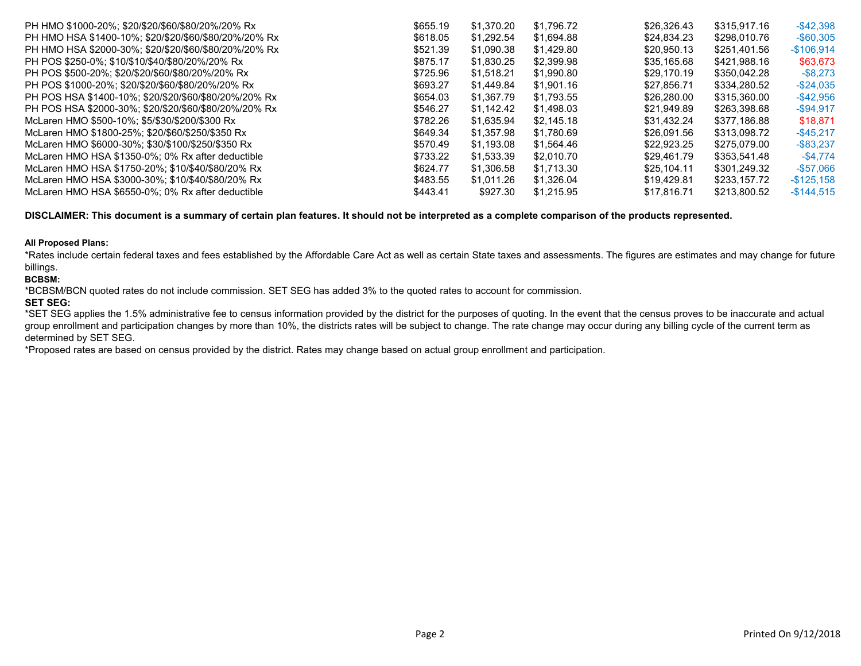| PH HMO \$1000-20%: \$20/\$20/\$60/\$80/20%/20% Rx     | \$655.19 | \$1.370.20 | \$1.796.72 | \$26,326.43 | \$315,917.16 | $-$ \$42,398  |
|-------------------------------------------------------|----------|------------|------------|-------------|--------------|---------------|
| PH HMO HSA \$1400-10%: \$20/\$20/\$60/\$80/20%/20% Rx | \$618.05 | \$1.292.54 | \$1.694.88 | \$24.834.23 | \$298,010.76 | $-$ \$60.305  |
| PH HMO HSA \$2000-30%; \$20/\$20/\$60/\$80/20%/20% Rx | \$521.39 | \$1,090.38 | \$1,429.80 | \$20,950.13 | \$251.401.56 | $-$106,914$   |
| PH POS \$250-0%; \$10/\$10/\$40/\$80/20%/20% Rx       | \$875.17 | \$1,830.25 | \$2,399.98 | \$35,165.68 | \$421.988.16 | \$63,673      |
| PH POS \$500-20%; \$20/\$20/\$60/\$80/20%/20% Rx      | \$725.96 | \$1,518.21 | \$1,990.80 | \$29.170.19 | \$350,042.28 | $-$ \$8,273   |
| PH POS \$1000-20%: \$20/\$20/\$60/\$80/20%/20% Rx     | \$693.27 | \$1.449.84 | \$1,901.16 | \$27.856.71 | \$334.280.52 | $-$ \$24,035  |
| PH POS HSA \$1400-10%: \$20/\$20/\$60/\$80/20%/20% Rx | \$654.03 | \$1.367.79 | \$1.793.55 | \$26,280.00 | \$315,360.00 | $-$ \$42,956  |
| PH POS HSA \$2000-30%: \$20/\$20/\$60/\$80/20%/20% Rx | \$546.27 | \$1.142.42 | \$1.498.03 | \$21.949.89 | \$263.398.68 | $-$ \$94,917  |
| McLaren HMO \$500-10%; \$5/\$30/\$200/\$300 Rx        | \$782.26 | \$1.635.94 | \$2.145.18 | \$31.432.24 | \$377.186.88 | \$18,871      |
| McLaren HMO \$1800-25%: \$20/\$60/\$250/\$350 Rx      | \$649.34 | \$1.357.98 | \$1.780.69 | \$26.091.56 | \$313,098.72 | $-$ \$45.217  |
| McLaren HMO \$6000-30%; \$30/\$100/\$250/\$350 Rx     | \$570.49 | \$1.193.08 | \$1.564.46 | \$22.923.25 | \$275.079.00 | $-$ \$83,237  |
| McLaren HMO HSA \$1350-0%: 0% Rx after deductible     | \$733.22 | \$1.533.39 | \$2.010.70 | \$29.461.79 | \$353,541.48 | $-$ \$4.774   |
| McLaren HMO HSA \$1750-20%; \$10/\$40/\$80/20% Rx     | \$624.77 | \$1,306.58 | \$1.713.30 | \$25.104.11 | \$301.249.32 | $-$ \$57,066  |
| McLaren HMO HSA \$3000-30%; \$10/\$40/\$80/20% Rx     | \$483.55 | \$1.011.26 | \$1.326.04 | \$19,429.81 | \$233.157.72 | $-$ \$125,158 |
| McLaren HMO HSA \$6550-0%; 0% Rx after deductible     | \$443.41 | \$927.30   | \$1.215.95 | \$17.816.71 | \$213,800.52 | $-$ \$144,515 |

**DISCLAIMER: This document is a summary of certain plan features. It should not be interpreted as a complete comparison of the products represented.**

## **All Proposed Plans:**

\*Rates include certain federal taxes and fees established by the Affordable Care Act as well as certain State taxes and assessments. The figures are estimates and may change for future billings.

## **BCBSM:**

\*BCBSM/BCN quoted rates do not include commission. SET SEG has added 3% to the quoted rates to account for commission.

## **SET SEG:**

\*SET SEG applies the 1.5% administrative fee to census information provided by the district for the purposes of quoting. In the event that the census proves to be inaccurate and actual group enrollment and participation changes by more than 10%, the districts rates will be subject to change. The rate change may occur during any billing cycle of the current term as determined by SET SEG.

\*Proposed rates are based on census provided by the district. Rates may change based on actual group enrollment and participation.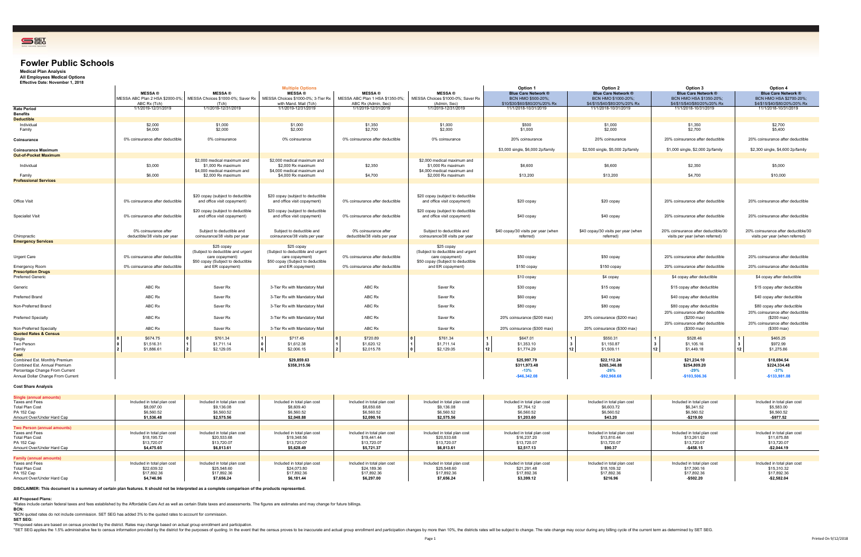Shading Color Blue Blue BluBlue Blue BluBlue Blue BluBlue Blue Blu



## **Fowler Public Schools**

**Medical Plan Analysis All Employees Medical Options Effective Date: November 1, 2018**

| Ellective Date: November 1, 2010                                                                                                     |                                                                    |                                                                                                                              | <b>Multiple Options</b>                                                                                                                          |                                                                         |                                                                                                                              | Option 1                                                                           | Option 2                                                                           | Option 3                                                                               | Option 4                                                                               |
|--------------------------------------------------------------------------------------------------------------------------------------|--------------------------------------------------------------------|------------------------------------------------------------------------------------------------------------------------------|--------------------------------------------------------------------------------------------------------------------------------------------------|-------------------------------------------------------------------------|------------------------------------------------------------------------------------------------------------------------------|------------------------------------------------------------------------------------|------------------------------------------------------------------------------------|----------------------------------------------------------------------------------------|----------------------------------------------------------------------------------------|
|                                                                                                                                      | <b>MESSA®</b><br>ABC Rx (Tch)                                      | <b>MESSA</b> <sup>®</sup><br>(Tch)                                                                                           | <b>MESSA®</b><br>MESSA ABC Plan 2 HSA \$2000-0%; MESSA Choices \$1000-0%; Saver Rx   MESSA Choices \$1000-0%; 3-Tier Rx<br>with Mand. Mail (Tch) | <b>MESSA®</b><br>MESSA ABC Plan 1 HSA \$1350-0%;<br>ABC Rx (Admin, Sec) | <b>MESSA®</b><br>MESSA Choices \$1000-0%; Saver Rx<br>(Admin, Sec)                                                           | <b>Blue Care Network ®</b><br>BCN HMO \$500-20%;<br>\$10/\$30/\$60/\$80/20%/20% Rx | <b>Blue Care Network ®</b><br>BCN HMO \$1000-20%;<br>\$4/\$15/\$40/\$80/20%/20% Rx | <b>Blue Care Network ®</b><br>BCN HMO HSA \$1350-20%;<br>\$4/\$15/\$40/\$80/20%/20% Rx | <b>Blue Care Network ®</b><br>BCN HMO HSA \$2700-20%;<br>\$4/\$15/\$40/\$80/20%/20% Rx |
| <b>Rate Period</b>                                                                                                                   | 1/1/2019-12/31/2019                                                | 1/1/2019-12/31/2019                                                                                                          | 1/1/2019-12/31/2019                                                                                                                              | 1/1/2019-12/31/2019                                                     | 1/1/2019-12/31/2019                                                                                                          | 11/1/2018-10/31/2019                                                               | 11/1/2018-10/31/2019                                                               | 11/1/2018-10/31/2019                                                                   | 11/1/2018-10/31/2019                                                                   |
| <b>Benefits</b>                                                                                                                      |                                                                    |                                                                                                                              |                                                                                                                                                  |                                                                         |                                                                                                                              |                                                                                    |                                                                                    |                                                                                        |                                                                                        |
| <b>Deductible</b>                                                                                                                    |                                                                    |                                                                                                                              |                                                                                                                                                  |                                                                         |                                                                                                                              |                                                                                    |                                                                                    |                                                                                        |                                                                                        |
| Individual<br>Family                                                                                                                 | \$2,000<br>\$4,000                                                 | \$1,000<br>\$2,000                                                                                                           | \$1,000<br>\$2,000                                                                                                                               | \$1,350<br>\$2,700                                                      | \$1,000<br>\$2,000                                                                                                           | \$500<br>\$1,000                                                                   | \$1,000<br>\$2,000                                                                 | \$1,350<br>\$2,700                                                                     | \$2,700<br>\$5,400                                                                     |
| Coinsurance                                                                                                                          | 0% coinsurance after deductible                                    | 0% coinsurance                                                                                                               | 0% coinsurance                                                                                                                                   | 0% coinsurance after deductible                                         | 0% coinsurance                                                                                                               | 20% coinsurance                                                                    | 20% coinsurance                                                                    | 20% coinsurance after deductible                                                       | 20% coinsurance after deductible                                                       |
| <b>Coinsurance Maximum</b>                                                                                                           |                                                                    |                                                                                                                              |                                                                                                                                                  |                                                                         |                                                                                                                              | \$3,000 single, \$6,000 2p/family                                                  | \$2,500 single, \$5,000 2p/family                                                  | \$1,000 single, \$2,000 2p/family                                                      | \$2,300 single, \$4,600 2p/family                                                      |
| <b>Out-of-Pocket Maximum</b>                                                                                                         |                                                                    |                                                                                                                              |                                                                                                                                                  |                                                                         |                                                                                                                              |                                                                                    |                                                                                    |                                                                                        |                                                                                        |
| Individual                                                                                                                           | \$3,000                                                            | \$2,000 medical maximum and<br>\$1,000 Rx maximum<br>\$4,000 medical maximum and                                             | \$2,000 medical maximum and<br>\$2,000 Rx maximum<br>\$4,000 medical maximum and                                                                 | \$2,350                                                                 | \$2,000 medical maximum and<br>\$1,000 Rx maximum<br>\$4,000 medical maximum and                                             | \$6,600                                                                            | \$6,600                                                                            | \$2,350                                                                                | \$5,000                                                                                |
| Family                                                                                                                               | \$6,000                                                            | \$2,000 Rx maximum                                                                                                           | \$4,000 Rx maximum                                                                                                                               | \$4,700                                                                 | \$2,000 Rx maximum                                                                                                           | \$13,200                                                                           | \$13,200                                                                           | \$4,700                                                                                | \$10,000                                                                               |
| <b>Professional Services</b>                                                                                                         |                                                                    |                                                                                                                              |                                                                                                                                                  |                                                                         |                                                                                                                              |                                                                                    |                                                                                    |                                                                                        |                                                                                        |
| Office Visit                                                                                                                         | 0% coinsurance after deductible                                    | \$20 copay (subject to deductible<br>and office visit copayment)                                                             | \$20 copay (subject to deductible<br>and office visit copayment)                                                                                 | 0% coinsurance after deductible                                         | \$20 copay (subject to deductible<br>and office visit copayment)                                                             | \$20 copay                                                                         | \$20 copay                                                                         | 20% coinsurance after deductible                                                       | 20% coinsurance after deductible                                                       |
| Specialist Visit                                                                                                                     | 0% coinsurance after deductible                                    | \$20 copay (subject to deductible<br>and office visit copayment)                                                             | \$20 copay (subject to deductible<br>and office visit copayment)                                                                                 | 0% coinsurance after deductible                                         | \$20 copay (subject to deductible<br>and office visit copayment)                                                             | \$40 copay                                                                         | \$40 copay                                                                         | 20% coinsurance after deductible                                                       | 20% coinsurance after deductible                                                       |
| Chiropractic                                                                                                                         | 0% coinsurance after<br>deductible/38 visits per year              | Subject to deductible and<br>coinsurance/38 visits per year                                                                  | Subject to deductible and<br>coinsurance/38 visits per year                                                                                      | 0% coinsurance after<br>deductible/38 visits per year                   | Subject to deductible and<br>coinsurance/38 visits per year                                                                  | \$40 copay/30 visits per year (when<br>referred)                                   | \$40 copay/30 visits per year (when<br>referred)                                   | 20% coinsurance after deductible/30<br>visits per year (when referred)                 | 20% coinsurance after deductible/30<br>visits per year (when referred)                 |
| <b>Emergency Services</b>                                                                                                            |                                                                    |                                                                                                                              |                                                                                                                                                  |                                                                         |                                                                                                                              |                                                                                    |                                                                                    |                                                                                        |                                                                                        |
| Urgent Care                                                                                                                          | 0% coinsurance after deductible<br>0% coinsurance after deductible | \$25 copay<br>(Subject to deductible and urgent<br>care copayment)<br>\$50 copay (Subject to deductible<br>and ER copayment) | \$25 copay<br>(Subject to deductible and urgent<br>care copayment)<br>\$50 copay (Subject to deductible<br>and ER copayment)                     | 0% coinsurance after deductible<br>0% coinsurance after deductible      | \$25 copay<br>(Subject to deductible and urgent<br>care copayment)<br>\$50 copay (Subject to deductible<br>and ER copayment) | \$50 copay<br>\$150 copay                                                          | \$50 copay<br>\$150 copay                                                          | 20% coinsurance after deductible<br>20% coinsurance after deductible                   | 20% coinsurance after deductible<br>20% coinsurance after deductible                   |
| Emergency Room<br><b>Prescription Drugs</b>                                                                                          |                                                                    |                                                                                                                              |                                                                                                                                                  |                                                                         |                                                                                                                              |                                                                                    |                                                                                    |                                                                                        |                                                                                        |
| Preferred Generic                                                                                                                    |                                                                    |                                                                                                                              |                                                                                                                                                  |                                                                         |                                                                                                                              | \$10 copay                                                                         | \$4 copay                                                                          | \$4 copay after deductible                                                             | \$4 copay after deductible                                                             |
| Generic                                                                                                                              | ABC Rx                                                             | Saver Rx                                                                                                                     | 3-Tier Rx with Mandatory Mail                                                                                                                    | ABC Rx                                                                  | Saver Rx                                                                                                                     | \$30 copay                                                                         | \$15 copay                                                                         | \$15 copay after deductible                                                            | \$15 copay after deductible                                                            |
| Preferred Brand                                                                                                                      | ABC Rx                                                             | Saver Rx                                                                                                                     | 3-Tier Rx with Mandatory Mail                                                                                                                    | ABC Rx                                                                  | Saver Rx                                                                                                                     | \$60 copay                                                                         | \$40 copay                                                                         | \$40 copay after deductible                                                            | \$40 copay after deductible                                                            |
| Non-Preferred Brand                                                                                                                  | ABC Rx                                                             | Saver Rx                                                                                                                     | 3-Tier Rx with Mandatory Mail                                                                                                                    | ABC Rx                                                                  | Saver Rx                                                                                                                     | \$80 copay                                                                         | \$80 copay                                                                         | \$80 copay after deductible<br>20% coinsurance after deductible                        | \$80 copay after deductible<br>20% coinsurance after deductible                        |
| <b>Preferred Specialty</b>                                                                                                           | ABC Rx                                                             | Saver Rx                                                                                                                     | 3-Tier Rx with Mandatory Mail                                                                                                                    | ABC Rx                                                                  | Saver Rx                                                                                                                     | 20% coinsurance (\$200 max)                                                        | 20% coinsurance (\$200 max)                                                        | (\$200 max)<br>20% coinsurance after deductible                                        | (\$200 max)<br>20% coinsurance after deductible                                        |
| Non-Preferred Specialty                                                                                                              | ABC Rx                                                             | Saver Rx                                                                                                                     | 3-Tier Rx with Mandatory Mail                                                                                                                    | ABC Rx                                                                  | Saver Rx                                                                                                                     | 20% coinsurance (\$300 max)                                                        | 20% coinsurance (\$300 max)                                                        | (\$300 max)                                                                            | (\$300 max)                                                                            |
| <b>Quoted Rates &amp; Census</b>                                                                                                     |                                                                    |                                                                                                                              |                                                                                                                                                  |                                                                         |                                                                                                                              |                                                                                    |                                                                                    |                                                                                        |                                                                                        |
| Single<br>Two Person<br>Family                                                                                                       | \$674.75<br>\$1,516.31<br>\$1,886.61                               | \$761.34<br>\$1,711.14<br>\$2,129.05                                                                                         | \$717.45<br>\$1,612.38<br>\$2,006.15                                                                                                             | \$720.89<br>\$1,620.12<br>\$2,015.78                                    | \$761.34<br>\$1,711.14<br>\$2,129.05                                                                                         | \$647.01<br>\$1,353.10<br>12<br>\$1,774.29                                         | \$550.31<br>\$1,150.87<br>12 I<br>\$1,509.11                                       | \$528.46<br>\$1,105.16<br>$\mathbf{3}$<br>12<br>\$1,449.18                             | \$465.25<br>\$972.99<br>\$1,275.86<br>  12                                             |
| Cost                                                                                                                                 |                                                                    |                                                                                                                              |                                                                                                                                                  |                                                                         |                                                                                                                              |                                                                                    |                                                                                    |                                                                                        |                                                                                        |
| Combined Est. Monthly Premium<br>Combined Est. Annual Premium<br>Percentage Change From Current<br>Annual Dollar Change From Current |                                                                    |                                                                                                                              | \$29,859.63<br>\$358,315.56                                                                                                                      |                                                                         |                                                                                                                              | \$25,997.79<br>\$311,973.48<br>$-13%$<br>$-$46,342.08$                             | \$22,112.24<br>\$265,346.88<br>$-26%$<br>$-$92,968.68$                             | \$21,234.10<br>\$254,809.20<br>$-29%$<br>$-$103,506.36$                                | \$18,694.54<br>\$224,334.48<br>$-37%$<br>$-$133,981.08$                                |
| Cost Share Analysis                                                                                                                  |                                                                    |                                                                                                                              |                                                                                                                                                  |                                                                         |                                                                                                                              |                                                                                    |                                                                                    |                                                                                        |                                                                                        |

#### **Cost Share Analysis**

| Single (annual amounts)            |                             |                             |                             |                             |                             |                             |                             |                             |                             |
|------------------------------------|-----------------------------|-----------------------------|-----------------------------|-----------------------------|-----------------------------|-----------------------------|-----------------------------|-----------------------------|-----------------------------|
| Taxes and Fees                     | Included in total plan cost | Included in total plan cost | Included in total plan cost | Included in total plan cost | Included in total plan cost | Included in total plan cost | Included in total plan cost | Included in total plan cost | Included in total plan cost |
| Total Plan Cost                    | \$8,097.00                  | \$9,136.08                  | \$8,609.40                  | \$8,650.68                  | \$9,136.08                  | \$7,764.12                  | \$6,603.72                  | \$6,341.52                  | \$5,583.00                  |
| PA 152 Cap                         | \$6,560.52                  | \$6,560.52                  | \$6,560.52                  | \$6,560.52                  | \$6,560.52                  | \$6,560.52                  | \$6,560.52                  | \$6,560.52                  | \$6,560.52                  |
| Amount Over/Under Hard Cap         | \$1,536.48                  | \$2,575.56                  | \$2,048.88                  | \$2,090.16                  | \$2,575.56                  | \$1,203.60                  | \$43.20                     | -\$219.00                   | -\$977.52                   |
|                                    |                             |                             |                             |                             |                             |                             |                             |                             |                             |
| <b>Two Person (annual amounts)</b> |                             |                             |                             |                             |                             |                             |                             |                             |                             |
| Taxes and Fees                     | Included in total plan cost | Included in total plan cost | Included in total plan cost | Included in total plan cost | Included in total plan cost | Included in total plan cost | Included in total plan cost | Included in total plan cost | Included in total plan cost |
| Total Plan Cost                    | \$18,195.72                 | \$20,533.68                 | \$19,348.56                 | \$19,441.44                 | \$20,533.68                 | \$16,237,20                 | \$13,810.44                 | \$13.261.92                 | \$11,675.88                 |
| PA 152 Cap                         | \$13,720.07                 | \$13,720.07                 | \$13,720.07                 | \$13,720.07                 | \$13,720.07                 | \$13,720.07                 | \$13,720.07                 | \$13,720.07                 | \$13,720.07                 |
| Amount Over/Under Hard Cap         | \$4,475.65                  | \$6,813.61                  | \$5,628.49                  | \$5,721.37                  | \$6,813.61                  | \$2,517.13                  | \$90.37                     | -\$458.15                   | -\$2,044.19                 |
|                                    |                             |                             |                             |                             |                             |                             |                             |                             |                             |
| <b>Family (annual amounts)</b>     |                             |                             |                             |                             |                             |                             |                             |                             |                             |
| Taxes and Fees                     | Included in total plan cost | Included in total plan cost | Included in total plan cost | Included in total plan cost | Included in total plan cost | Included in total plan cost | Included in total plan cost | Included in total plan cost | Included in total plan cost |
| Total Plan Cost                    | \$22,639.32                 | \$25,548.60                 | \$24,073.80                 | \$24,189.36                 | \$25,548.60                 | \$21,291.48                 | \$18,109.32                 | \$17,390.16                 | \$15,310.32                 |
| PA 152 Cap                         | \$17,892.36                 | \$17,892.36                 | \$17,892.36                 | \$17,892.36                 | \$17,892.36                 | \$17,892.36                 | \$17,892.36                 | \$17,892.36                 | \$17,892.36                 |
| Amount Over/Under Hard Cap         | \$4,746.96                  | \$7,656.24                  | \$6,181.44                  | \$6,297.00                  | \$7,656.24                  | \$3,399.12                  | \$216.96                    | $-$502.20$                  | $-$ \$2,582.04              |
|                                    |                             |                             |                             |                             |                             |                             |                             |                             |                             |

**DISCLAIMER: This document is a summary of certain plan features. It should not be interpreted as a complete comparison of the products represented.**

## **All Proposed Plans:**

\*Rates include certain federal taxes and fees established by the Affordable Care Act as well as certain State taxes and assessments. The figures are estimates and may change for future billings. **BCN:**

\*BCN quoted rates do not include commission. SET SEG has added 3% to the quoted rates to account for commission. **SET SEG:**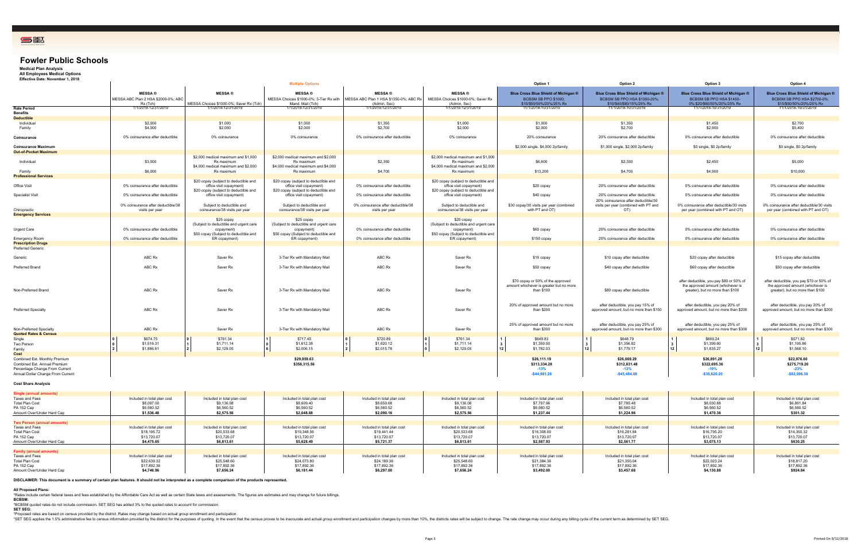Shading Color Blue2Blue2 BluBlue2Blue2 BluBlue2Blue2 BluBlue2Blue2 Blu

## **Fowler Public Schools**

**Medical Plan Analysis All Employees Medical Options Effective Date: November 1, 2018**

| Lifective Date: November 1, 2010                                                                    |                                                                    |                                                                                                                              | <b>Multiple Options</b>                                                                                                      |                                                                         |                                                                                                                              | Option 1                                                                                   | Option 2                                                                                          | Option 3                                                                                                          | Option 4                                                                                                          |
|-----------------------------------------------------------------------------------------------------|--------------------------------------------------------------------|------------------------------------------------------------------------------------------------------------------------------|------------------------------------------------------------------------------------------------------------------------------|-------------------------------------------------------------------------|------------------------------------------------------------------------------------------------------------------------------|--------------------------------------------------------------------------------------------|---------------------------------------------------------------------------------------------------|-------------------------------------------------------------------------------------------------------------------|-------------------------------------------------------------------------------------------------------------------|
|                                                                                                     | <b>MESSA®</b><br>MESSA ABC Plan 2 HSA \$2000-0%; ABC<br>Rx (Tch)   | <b>MESSA</b> <sup>®</sup><br>MESSA Choices \$1000-0%; Saver Rx (Tch)                                                         | <b>MESSA®</b><br>MESSA Choices \$1000-0%; 3-Tier Rx with<br>Mand, Mail (Tch)                                                 | <b>MESSA®</b><br>MESSA ABC Plan 1 HSA \$1350-0%; ABC Rx<br>(Admin, Sec) | <b>MESSA®</b><br>MESSA Choices \$1000-0%; Saver Rx<br>(Admin, Sec)                                                           | Blue Cross Blue Shield of Michigan ®<br>BCBSM SB PPO \$1000;<br>\$15/\$50/50%/20%/25% Rx   | Blue Cross Blue Shield of Michigan ®<br>BCBSM SB PPO HSA \$1350-20%;<br>\$10/\$40/\$80/15%/25% Rx | Blue Cross Blue Shield of Michigan ®<br>BCBSM SB PPO HSA \$1450-<br>0%;\$20/\$60/50%/20%/25% Rx                   | Blue Cross Blue Shield of Michigan ®<br>BCBSM SB PPO HSA \$2700-0%;<br>\$15/\$50/50%/20%/25% Rx                   |
| <b>Rate Period</b>                                                                                  | 1/1/2019-12/31/2019                                                | 1/1/2019-12/31/2019                                                                                                          | 1/1/2019-12/31/2019                                                                                                          | 1/1/2019-12/31/2019                                                     | 1/1/2019-12/31/2019                                                                                                          | 11/1/2018-10/31/2019                                                                       | 11/1/2018-10/31/2019                                                                              | 11/1/2018-10/31/2019                                                                                              | 11/1/2018-10/31/2019                                                                                              |
| <b>Benefits</b><br><b>Deductible</b>                                                                |                                                                    |                                                                                                                              |                                                                                                                              |                                                                         |                                                                                                                              |                                                                                            |                                                                                                   |                                                                                                                   |                                                                                                                   |
| Individual                                                                                          | \$2,000                                                            | \$1,000                                                                                                                      | \$1,000                                                                                                                      | \$1,350                                                                 | \$1,000                                                                                                                      | \$1,000                                                                                    | \$1,350                                                                                           | \$1,450                                                                                                           | \$2,700                                                                                                           |
| Family                                                                                              | \$4,000                                                            | \$2,000                                                                                                                      | \$2,000                                                                                                                      | \$2,700                                                                 | \$2,000                                                                                                                      | \$2,000                                                                                    | \$2,700                                                                                           | \$2,900                                                                                                           | \$5,400                                                                                                           |
| Coinsurance                                                                                         | 0% coinsurance after deductible                                    | 0% coinsurance                                                                                                               | 0% coinsurance                                                                                                               | 0% coinsurance after deductible                                         | 0% coinsurance                                                                                                               | 20% coinsurance                                                                            | 20% coinsurance after deductible                                                                  | 0% coinsurance after deductible                                                                                   | 0% coinsurance after deductible                                                                                   |
| <b>Coinsurance Maximum</b>                                                                          |                                                                    |                                                                                                                              |                                                                                                                              |                                                                         |                                                                                                                              | \$2,000 single. \$4,000 2p/family                                                          | \$1,000 single, \$2,000 2p/family                                                                 | \$0 single, \$0 2p/family                                                                                         | \$0 single, \$0 2p/family                                                                                         |
| <b>Out-of-Pocket Maximum</b>                                                                        |                                                                    |                                                                                                                              |                                                                                                                              |                                                                         |                                                                                                                              |                                                                                            |                                                                                                   |                                                                                                                   |                                                                                                                   |
| Individual                                                                                          | \$3,000                                                            | \$2,000 medical maximum and \$1,000<br>Rx maximum<br>\$4,000 medical maximum and \$2,000                                     | \$2,000 medical maximum and \$2,000<br>Rx maximum<br>\$4,000 medical maximum and \$4,000                                     | \$2,350                                                                 | \$2,000 medical maximum and \$1,000<br>Rx maximum<br>\$4,000 medical maximum and \$2,000                                     | \$6,600                                                                                    | \$2,350                                                                                           | \$2,450                                                                                                           | \$5,000                                                                                                           |
| Family                                                                                              | \$6,000                                                            | Rx maximum                                                                                                                   | Rx maximum                                                                                                                   | \$4,700                                                                 | Rx maximum                                                                                                                   | \$13,200                                                                                   | \$4,700                                                                                           | \$4,900                                                                                                           | \$10,000                                                                                                          |
| <b>Professional Services</b><br>Office Visit                                                        | 0% coinsurance after deductible                                    | \$20 copay (subject to deductible and<br>office visit copayment)<br>\$20 copay (subject to deductible and                    | \$20 copay (subject to deductible and<br>office visit copayment)<br>\$20 copay (subject to deductible and                    | 0% coinsurance after deductible                                         | \$20 copay (subject to deductible and<br>office visit copayment)<br>\$20 copay (subject to deductible and                    | \$20 copay                                                                                 | 20% coinsurance after deductible                                                                  | 0% coinsurance after deductible                                                                                   | 0% coinsurance after deductible                                                                                   |
| <b>Specialist Visit</b>                                                                             | 0% coinsurance after deductible                                    | office visit copayment)                                                                                                      | office visit copayment)                                                                                                      | 0% coinsurance after deductible                                         | office visit copayment)                                                                                                      | \$40 copay                                                                                 | 20% coinsurance after deductible<br>20% coinsurance after deductible/30                           | 0% coinsurance after deductible                                                                                   | 0% coinsurance after deductible                                                                                   |
| Chiropractic                                                                                        | 0% coinsurance after deductible/38<br>visits per year              | Subiect to deductible and<br>coinsurance/38 visits per year                                                                  | Subject to deductible and<br>coinsurance/38 visits per year                                                                  | 0% coinsurance after deductible/38<br>visits per year                   | Subject to deductible and<br>coinsurance/38 visits per year                                                                  | \$30 copay/30 visits per year (combined<br>with PT and OT)                                 | visits per year (combined with PT and<br>OT)                                                      | 0% coinsurance after deductible/30 visits<br>per year (combined with PT and OT)                                   | 0% coinsurance after deductible/30 visits<br>per year (combined with PT and OT)                                   |
| <b>Emergency Services</b>                                                                           |                                                                    |                                                                                                                              |                                                                                                                              |                                                                         |                                                                                                                              |                                                                                            |                                                                                                   |                                                                                                                   |                                                                                                                   |
| Urgent Care<br>Emergency Room                                                                       | 0% coinsurance after deductible<br>0% coinsurance after deductible | \$25 copay<br>(Subject to deductible and urgent care<br>copayment)<br>\$50 copay (Subject to deductible and<br>ER copayment) | \$25 copay<br>(Subject to deductible and urgent care<br>copayment)<br>\$50 copay (Subject to deductible and<br>ER copayment) | 0% coinsurance after deductible<br>0% coinsurance after deductible      | \$25 copay<br>(Subject to deductible and urgent care<br>copayment)<br>\$50 copay (Subject to deductible and<br>ER copayment) | \$60 copay<br>\$150 copay                                                                  | 20% coinsurance after deductible<br>20% coinsurance after deductible                              | 0% coinsurance after deductible<br>0% coinsurance after deductible                                                | 0% coinsurance after deductible<br>0% coinsurance after deductible                                                |
| <b>Prescription Drugs</b>                                                                           |                                                                    |                                                                                                                              |                                                                                                                              |                                                                         |                                                                                                                              |                                                                                            |                                                                                                   |                                                                                                                   |                                                                                                                   |
| Preferred Generic                                                                                   |                                                                    |                                                                                                                              |                                                                                                                              |                                                                         |                                                                                                                              |                                                                                            |                                                                                                   |                                                                                                                   |                                                                                                                   |
| Generic                                                                                             | ABC Rx                                                             | Saver Rx                                                                                                                     | 3-Tier Rx with Mandatory Mail                                                                                                | ABC Rx                                                                  | Saver Rx                                                                                                                     | \$15 copay                                                                                 | \$10 copay after deductible                                                                       | \$20 copay after deductible                                                                                       | \$15 copay after deductible                                                                                       |
| <b>Preferred Brand</b>                                                                              | ABC Rx                                                             | Saver Rx                                                                                                                     | 3-Tier Rx with Mandatory Mail                                                                                                | ABC Rx                                                                  | Saver Rx                                                                                                                     | \$50 copay                                                                                 | \$40 copay after deductible                                                                       | \$60 copay after deductible                                                                                       | \$50 copay after deductible                                                                                       |
| Non-Preferred Brand                                                                                 | ABC Rx                                                             | Saver Rx                                                                                                                     | 3-Tier Rx with Mandatory Mail                                                                                                | ABC Rx                                                                  | Saver Rx                                                                                                                     | \$70 copay or 50% of the approved<br>amount whichever is greater but no more<br>than \$100 | \$80 copay after deductible                                                                       | after deductible, you pay \$80 or 50% of<br>the approved amount (whichever is<br>greater), but no more than \$100 | after deductible, you pay \$70 or 50% of<br>the approved amount (whichever is<br>greater), but no more than \$100 |
| <b>Preferred Specialty</b>                                                                          | ABC Rx                                                             | Saver Rx                                                                                                                     | 3-Tier Rx with Mandatory Mail                                                                                                | ABC Rx                                                                  | Saver Rx                                                                                                                     | 20% of approved amount but no more<br>than \$200                                           | after deductible, you pay 15% of<br>approved amount, but no more than \$150                       | after deductible, you pay 20% of<br>approved amount, but no more than \$200                                       | after deductible, you pay 20% of<br>approved amount, but no more than \$200                                       |
| Non-Preferred Specialty<br><b>Quoted Rates &amp; Census</b>                                         | ABC Rx                                                             | Saver Rx                                                                                                                     | 3-Tier Rx with Mandatory Mail                                                                                                | ABC Rx                                                                  | Saver Rx                                                                                                                     | 25% of approved amount but no more<br>than \$300                                           | after deductible, you pay 25% of<br>approved amount, but no more than \$300                       | after deductible, you pay 25% of<br>approved amount, but no more than \$300                                       | after deductible, you pay 25% of<br>approved amount, but no more than \$300                                       |
| Single<br>Two Person                                                                                | \$674.75<br>\$1,516.31                                             | \$761.34<br>\$1,711.14                                                                                                       | \$717.45<br>\$1,612.38                                                                                                       | \$720.89<br>\$1,620.12                                                  | \$761.34<br>\$1,711.14                                                                                                       | \$649.83<br>\$1,359.00<br>12                                                               | \$648.79<br>\$1,356.82<br>12                                                                      | \$669.24<br>\$1,399.60<br>12                                                                                      | \$571.82<br>\$1,195.86<br>\$1,568.10                                                                              |
| Family<br>Cost                                                                                      | \$1,886.61                                                         | \$2,129.05                                                                                                                   | \$2,006.15                                                                                                                   | \$2,015.78                                                              | \$2,129.05                                                                                                                   | \$1,782.03                                                                                 | \$1,779.17                                                                                        | \$1,835.27                                                                                                        |                                                                                                                   |
| Combined Est. Monthly Premium                                                                       |                                                                    |                                                                                                                              | \$29,859.63                                                                                                                  |                                                                         |                                                                                                                              | \$26,111.19                                                                                | \$26,069.29                                                                                       | \$26,891.28                                                                                                       | \$22,976.60                                                                                                       |
| Combined Est. Annual Premium<br>Percentage Change From Current<br>Annual Dollar Change From Current |                                                                    |                                                                                                                              | \$358,315.56                                                                                                                 |                                                                         |                                                                                                                              | \$313,334.28<br>$-13%$<br>$-$44,981.28$                                                    | \$312,831.48<br>$-13%$<br>$-$45,484.08$                                                           | \$322,695.36<br>$-10%$<br>$-$35,620.20$                                                                           | \$275,719.20<br>$-23%$<br>$-$82,596.36$                                                                           |

#### **Cost Share Analysis**

| <b>Single (annual amounts)</b><br>Taxes and Fees<br><b>Total Plan Cost</b><br>PA 152 Cap<br>Amount Over/Under Hard Cap | Included in total plan cost<br>\$8,097.00<br>\$6,560.52<br>\$1,536.48   | Included in total plan cost<br>\$9,136.08<br>\$6,560.52<br>\$2.575.56   | Included in total plan cost<br>\$8,609.40<br>\$6,560.52<br>\$2.048.88   | Included in total plan cost<br>\$8,650.68<br>\$6,560.52<br>\$2.090.16   | Included in total plan cost<br>\$9,136.0<br>\$6,560.5.<br>\$2,575.56    | Included in total plan cost<br>\$7,797.96<br>\$6,560.52<br>\$1,237.44   | Included in total plan cost<br>\$7,785.48<br>\$6,560.52<br>\$1.224.96   | Included in total plan cost<br>\$8,030.88<br>\$6,560.52<br>\$1,470.36   | Included in total plan cost<br>\$6,861.84<br>\$6,560.52<br>\$301.32   |
|------------------------------------------------------------------------------------------------------------------------|-------------------------------------------------------------------------|-------------------------------------------------------------------------|-------------------------------------------------------------------------|-------------------------------------------------------------------------|-------------------------------------------------------------------------|-------------------------------------------------------------------------|-------------------------------------------------------------------------|-------------------------------------------------------------------------|-----------------------------------------------------------------------|
| <b>Two Person (annual amounts)</b>                                                                                     |                                                                         |                                                                         |                                                                         |                                                                         |                                                                         |                                                                         |                                                                         |                                                                         |                                                                       |
| Taxes and Fees<br><b>Total Plan Cost</b><br>PA 152 Cap<br>Amount Over/Under Hard Cap                                   | Included in total plan cost<br>\$18,195.72<br>\$13,720.07<br>\$4,475.65 | Included in total plan cost<br>\$20,533.68<br>\$13,720.07<br>\$6,813.61 | Included in total plan cost<br>\$19,348.56<br>\$13,720.07<br>\$5,628.49 | Included in total plan cost<br>\$19,441.44<br>\$13,720.07<br>\$5,721.37 | Included in total plan cost<br>\$20,533,68<br>\$13,720.07<br>\$6,813.61 | Included in total plan cost<br>\$16,308,00<br>\$13,720.07<br>\$2,587.93 | Included in total plan cost<br>\$16,281.84<br>\$13,720.07<br>\$2,561.77 | Included in total plan cost<br>\$16,795.20<br>\$13,720.07<br>\$3,075.13 | Included in total plan cost<br>\$14,350.32<br>\$13,720.07<br>\$630.25 |
| <b>Family (annual amounts)</b>                                                                                         |                                                                         |                                                                         |                                                                         |                                                                         |                                                                         |                                                                         |                                                                         |                                                                         |                                                                       |
| Taxes and Fees<br><b>Total Plan Cost</b><br>PA 152 Cap<br>Amount Over/Under Hard Cap                                   | Included in total plan cost<br>\$22,639.32<br>\$17,892.36<br>\$4,746.96 | Included in total plan cost<br>\$25,548.60<br>\$17,892.36<br>\$7,656.24 | Included in total plan cost<br>\$24,073.80<br>\$17,892.36<br>\$6,181.44 | Included in total plan cost<br>\$24,189.36<br>\$17,892.36<br>\$6,297.00 | Included in total plan cost<br>\$25,548.60<br>\$17,892.36<br>\$7,656.24 | Included in total plan cost<br>\$21,384.36<br>\$17,892.36<br>\$3,492.00 | Included in total plan cost<br>\$21,350.04<br>\$17,892.36<br>\$3,457.68 | Included in total plan cost<br>\$22,023.24<br>\$17,892.36<br>\$4,130.88 | Included in total plan cost<br>\$18,817.20<br>\$17,892.36<br>\$924.84 |

**DISCLAIMER: This document is a summary of certain plan features. It should not be interpreted as a complete comparison of the products represented.**

All Proposed Plans:<br>"Rates include certain federal taxes and fees established by the Affordable Care Act as well as certain State taxes and assessments. The figures are estimates and may change for future billings.<br>BCBSM:

\*BCBSM quoted rates do not include commission. SET SEG has added 3% to the quoted rates to account for commission. **SET SEG:**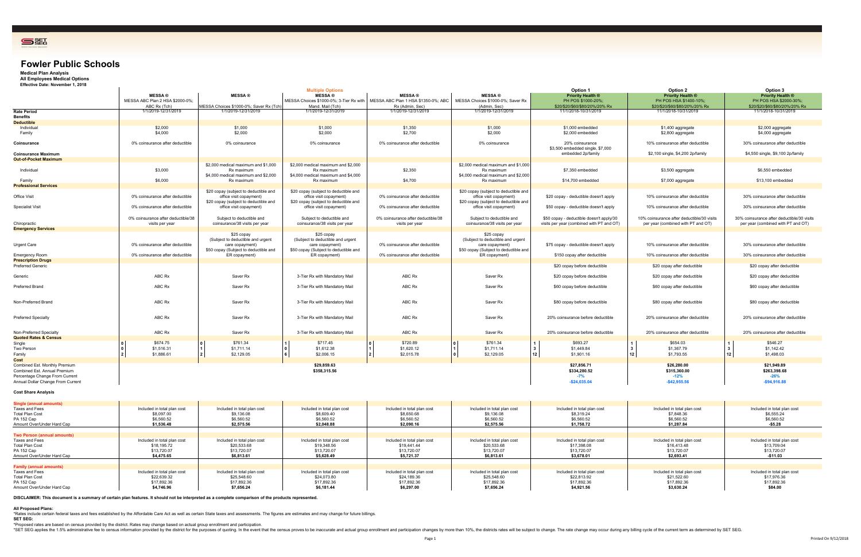Shading Color GreeGreen GreGreeGreen GreGreeGreen Gre



## **Fowler Public Schools**

 $\mathbf{r}$ 

**Medical Plan Analysis**

**All Employees Medical Options Effective Date: November 1, 2018**

|                                                                                                                 | Option 1                                                                                                                       | Option 2                                                                                                             | Option 3                                                                                                             |
|-----------------------------------------------------------------------------------------------------------------|--------------------------------------------------------------------------------------------------------------------------------|----------------------------------------------------------------------------------------------------------------------|----------------------------------------------------------------------------------------------------------------------|
| <b>MESSA®</b><br>hoices \$1000-0%; Saver Rx<br>(Admin, Sec)                                                     | <b>Priority Health ®</b><br>PH POS \$1000-20%;<br>\$20/\$20/\$60/\$80/20%/20% Rx                                               | <b>Priority Health ®</b><br>PH POS HSA \$1400-10%;<br>\$20/\$20/\$60/\$80/20%/20% Rx                                 | <b>Priority Health ®</b><br>PH POS HSA \$2000-30%;<br>\$20/\$20/\$60/\$80/20%/20% Rx                                 |
| 1/1/2019-12/31/2019                                                                                             | 11/1/2018-10/31/2019                                                                                                           | 11/1/2018-10/31/2019                                                                                                 | 11/1/2018-10/31/2019                                                                                                 |
| \$1,000<br>\$2,000                                                                                              | \$1,000 embedded<br>\$2,000 embedded                                                                                           | \$1,400 aggregate<br>\$2,800 aggregate                                                                               | \$2,000 aggregate<br>\$4,000 aggregate                                                                               |
| 0% coinsurance                                                                                                  | 20% coinsurance<br>\$3,500 embedded single, \$7,000<br>embedded 2p/family                                                      | 10% coinsurance after deductible<br>\$2,100 single, \$4,200 2p/family                                                | 30% coinsurance after deductible<br>\$4,550 single, \$9,100 2p/family                                                |
| medical maximum and \$1,000<br>Rx maximum<br>medical maximum and \$2,000<br>Rx maximum                          | \$7,350 embedded<br>\$14,700 embedded                                                                                          | \$3,500 aggregate<br>\$7,000 aggregate                                                                               | \$6,550 embedded<br>\$13,100 embedded                                                                                |
| bay (subject to deductible and<br>office visit copayment)<br>bay (subject to deductible and                     | \$20 copay - deductible doesn't apply                                                                                          | 10% coinsurance after deductible                                                                                     | 30% coinsurance after deductible                                                                                     |
| office visit copayment)<br>ubject to deductible and<br>surance/38 visits per year                               | \$50 copay - deductible doesn't apply<br>\$50 copay - deductible doesn't apply/30<br>visits per year (combined with PT and OT) | 10% coinsurance after deductible<br>10% coinsurance after deductible/30 visits<br>per year (combined with PT and OT) | 30% coinsurance after deductible<br>30% coinsurance after deductible/30 visits<br>per year (combined with PT and OT) |
| \$25 copay<br>ect to deductible and urgent<br>care copayment)<br>ay (Subject to deductible and<br>ER copayment) | \$75 copay - deductible doesn't apply<br>\$150 copay after deductible                                                          | 10% coinsurance after deductible<br>10% coinsurance after deductible                                                 | 30% coinsurance after deductible<br>30% coinsurance after deductible                                                 |
|                                                                                                                 | \$20 copay before deductible                                                                                                   | \$20 copay after deductible                                                                                          | \$20 copay after deductible                                                                                          |
| Saver Rx                                                                                                        | \$20 copay before deductible                                                                                                   | \$20 copay after deductible                                                                                          | \$20 copay after deductible                                                                                          |
| Saver Rx                                                                                                        | \$60 copay before deductible                                                                                                   | \$60 copay after deductible                                                                                          | \$60 copay after deductible                                                                                          |
| Saver Rx                                                                                                        | \$80 copay before deductible                                                                                                   | \$80 copay after deductible                                                                                          | \$80 copay after deductible                                                                                          |
| Saver <sub>Rx</sub>                                                                                             | 20% coinsurance before deductible                                                                                              | 20% coinsurance after deductible                                                                                     | 20% coinsurance after deductible                                                                                     |
| Saver Rx                                                                                                        | 20% coinsurance before deductible                                                                                              | 20% coinsurance after deductible                                                                                     | 20% coinsurance after deductible                                                                                     |
| \$761.34<br>\$1,711.14<br>\$2,129.05                                                                            | 1<br>\$693.27<br>\$1,449.84<br>3<br>12<br>\$1,901.16                                                                           | 1<br>\$654.03<br>\$1,367.79<br>3<br>12<br>\$1,793.55                                                                 | 1<br>\$546.27<br>\$1,142.42<br>3<br>12<br>\$1,498.03                                                                 |
|                                                                                                                 | \$27,856.71<br>\$334,280.52<br>$-7%$<br>$-$24,035.04$                                                                          | \$26,280.00<br>\$315,360.00<br>$-12%$<br>$-$ \$42,955.56                                                             | \$21,949.89<br>\$263,398.68<br>$-26%$<br>$-$94,916.88$                                                               |
| cluded in total plan cost<br>\$9,136.08<br>\$6,560.52<br>\$2,575.56                                             | Included in total plan cost<br>\$8,319.24<br>\$6,560.52<br>\$1,758.72                                                          | Included in total plan cost<br>\$7,848.36<br>\$6,560.52<br>\$1,287.84                                                | Included in total plan cost<br>\$6,555.24<br>\$6,560.52<br>\$5.28                                                    |
|                                                                                                                 |                                                                                                                                |                                                                                                                      |                                                                                                                      |

|                                   |                                    |                                         | <b>Multiple Options</b>                 |                                     |                                       | <b>Option 1</b>                           | Option 2                                   | Option 3                            |
|-----------------------------------|------------------------------------|-----------------------------------------|-----------------------------------------|-------------------------------------|---------------------------------------|-------------------------------------------|--------------------------------------------|-------------------------------------|
|                                   | <b>MESSA®</b>                      | <b>MESSA</b> <sup>®</sup>               | <b>MESSA®</b>                           | <b>MESSA®</b>                       | <b>MESSA</b> ®                        | <b>Priority Health ®</b>                  | <b>Priority Health ®</b>                   | <b>Priority Health ®</b>            |
|                                   | MESSA ABC Plan 2 HSA \$2000-0%;    |                                         | MESSA Choices \$1000-0%; 3-Tier Rx with | MESSA ABC Plan 1 HSA \$1350-0%; ABC | MESSA Choices \$1000-0%; Saver Rx     | PH POS \$1000-20%                         | PH POS HSA \$1400-10%;                     | PH POS HSA \$2000-30%;              |
|                                   | ABC Rx (Tch)                       | MESSA Choices \$1000-0%; Saver Rx (Tch) | Mand, Mail (Tch)                        | Rx (Admin, Sec)                     | (Admin, Sec)                          | \$20/\$20/\$60/\$80/20%/20% Rx            | \$20/\$20/\$60/\$80/20%/20% Rx             | \$20/\$20/\$60/\$80/20%/20% R>      |
| Rate Period                       | 1/1/2019-12/31/2019                | 1/1/2019-12/31/2019                     | 1/1/2019-12/31/2019                     | 1/1/2019-12/31/2019                 | 1/1/2019-12/31/2019                   | 11/1/2018-10/31/2019                      | 11/1/2018-10/31/2019                       | 11/1/2018-10/31/2019                |
| Benefits                          |                                    |                                         |                                         |                                     |                                       |                                           |                                            |                                     |
| <b>Deductible</b>                 |                                    |                                         |                                         |                                     |                                       |                                           |                                            |                                     |
| Individual                        | \$2,000                            | \$1,000                                 | \$1,000                                 | \$1,350                             | \$1,000                               | \$1,000 embedded                          | \$1,400 aggregate                          | \$2,000 aggregate                   |
| Family                            | \$4,000                            | \$2,000                                 | \$2,000                                 | \$2,700                             | \$2,000                               | \$2,000 embedded                          | \$2,800 aggregate                          | \$4,000 aggregate                   |
|                                   |                                    |                                         |                                         |                                     |                                       |                                           |                                            |                                     |
| Coinsurance                       | 0% coinsurance after deductible    | 0% coinsurance                          | 0% coinsurance                          | 0% coinsurance after deductible     | 0% coinsurance                        | 20% coinsurance                           | 10% coinsurance after deductible           | 30% coinsurance after deductible    |
|                                   |                                    |                                         |                                         |                                     |                                       | \$3,500 embedded single, \$7,000          |                                            |                                     |
| <b>Coinsurance Maximum</b>        |                                    |                                         |                                         |                                     |                                       | embedded 2p/family                        | \$2,100 single, \$4,200 2p/family          | \$4,550 single, \$9,100 2p/family   |
| <b>Out-of-Pocket Maximum</b>      |                                    |                                         |                                         |                                     |                                       |                                           |                                            |                                     |
|                                   |                                    |                                         |                                         |                                     |                                       |                                           |                                            |                                     |
|                                   |                                    | \$2,000 medical maximum and \$1,000     | \$2,000 medical maximum and \$2,000     |                                     | \$2,000 medical maximum and \$1,000   |                                           |                                            |                                     |
| Individual                        | \$3,000                            | Rx maximum                              | Rx maximum                              | \$2,350                             | Rx maximum                            | \$7,350 embedded                          | \$3,500 aggregate                          | \$6,550 embedded                    |
|                                   |                                    | \$4,000 medical maximum and \$2,000     | \$4,000 medical maximum and \$4,000     |                                     | \$4,000 medical maximum and \$2,000   |                                           |                                            |                                     |
| Family                            | \$6,000                            | Rx maximum                              | Rx maximum                              | \$4,700                             | Rx maximum                            | \$14,700 embedded                         | \$7,000 aggregate                          | \$13,100 embedded                   |
| <b>Professional Services</b>      |                                    |                                         |                                         |                                     |                                       |                                           |                                            |                                     |
|                                   |                                    | \$20 copay (subject to deductible and   | \$20 copay (subject to deductible and   |                                     | \$20 copay (subject to deductible and |                                           |                                            |                                     |
| <b>Office Visit</b>               | 0% coinsurance after deductible    | office visit copayment)                 | office visit copayment)                 | 0% coinsurance after deductible     | office visit copayment)               | \$20 copay - deductible doesn't apply     | 10% coinsurance after deductible           | 30% coinsurance after deductible    |
|                                   |                                    | \$20 copay (subject to deductible and   | \$20 copay (subject to deductible and   |                                     | \$20 copay (subject to deductible and |                                           |                                            |                                     |
| <b>Specialist Visit</b>           | 0% coinsurance after deductible    | office visit copayment)                 | office visit copayment)                 | 0% coinsurance after deductible     | office visit copayment)               | \$50 copay - deductible doesn't apply     | 10% coinsurance after deductible           | 30% coinsurance after deductible    |
|                                   |                                    |                                         |                                         |                                     |                                       |                                           |                                            |                                     |
|                                   | 0% coinsurance after deductible/38 | Subject to deductible and               | Subject to deductible and               | 0% coinsurance after deductible/38  | Subject to deductible and             | \$50 copay - deductible doesn't apply/30  | 10% coinsurance after deductible/30 visits | 30% coinsurance after deductible/30 |
| Chiropractic                      | visits per year                    | coinsurance/38 visits per year          | coinsurance/38 visits per year          | visits per year                     | coinsurance/38 visits per year        | visits per year (combined with PT and OT) | per year (combined with PT and OT)         | per year (combined with PT and O    |
| <b>Emergency Services</b>         |                                    |                                         |                                         |                                     |                                       |                                           |                                            |                                     |
|                                   |                                    | \$25 copay                              | \$25 copay                              |                                     | \$25 copay                            |                                           |                                            |                                     |
|                                   |                                    | (Subject to deductible and urgent       | (Subject to deductible and urgent       |                                     | (Subject to deductible and urgent     |                                           |                                            |                                     |
|                                   | 0% coinsurance after deductible    |                                         |                                         | 0% coinsurance after deductible     |                                       |                                           | 10% coinsurance after deductible           | 30% coinsurance after deductible    |
| Urgent Care                       |                                    | care copayment)                         | care copayment)                         |                                     | care copayment)                       | \$75 copay - deductible doesn't apply     |                                            |                                     |
|                                   |                                    | \$50 copay (Subject to deductible and   | \$50 copay (Subject to deductible and   |                                     | \$50 copay (Subject to deductible and |                                           |                                            |                                     |
| Emergency Room                    | 0% coinsurance after deductible    | ER copayment)                           | ER copayment)                           | 0% coinsurance after deductible     | ER copayment)                         | \$150 copay after deductible              | 10% coinsurance after deductible           | 30% coinsurance after deductible    |
| <b>Prescription Drugs</b>         |                                    |                                         |                                         |                                     |                                       |                                           |                                            |                                     |
| <b>Preferred Generic</b>          |                                    |                                         |                                         |                                     |                                       | \$20 copay before deductible              | \$20 copay after deductible                | \$20 copay after deductible         |
|                                   |                                    |                                         |                                         |                                     |                                       |                                           |                                            |                                     |
| Generic                           | ABC Rx                             | Saver Rx                                | 3-Tier Rx with Mandatory Mail           | ABC Rx                              | Saver Rx                              | \$20 copay before deductible              | \$20 copay after deductible                | \$20 copay after deductible         |
|                                   |                                    |                                         |                                         |                                     |                                       |                                           |                                            |                                     |
| Preferred Brand                   | ABC Rx                             | Saver Rx                                | 3-Tier Rx with Mandatory Mail           | ABC Rx                              | Saver Rx                              | \$60 copay before deductible              | \$60 copay after deductible                | \$60 copay after deductible         |
|                                   |                                    |                                         |                                         |                                     |                                       |                                           |                                            |                                     |
|                                   |                                    |                                         |                                         |                                     |                                       |                                           |                                            |                                     |
| Non-Preferred Brand               | ABC Rx                             | Saver Rx                                | 3-Tier Rx with Mandatory Mail           | ABC Rx                              | Saver Rx                              | \$80 copay before deductible              | \$80 copay after deductible                | \$80 copay after deductible         |
|                                   |                                    |                                         |                                         |                                     |                                       |                                           |                                            |                                     |
|                                   |                                    |                                         |                                         |                                     |                                       |                                           |                                            |                                     |
| <b>Preferred Specialty</b>        | ABC Rx                             | Saver Rx                                | 3-Tier Rx with Mandatory Mail           | ABC Rx                              | Saver Rx                              | 20% coinsurance before deductible         | 20% coinsurance after deductible           | 20% coinsurance after deductible    |
|                                   |                                    |                                         |                                         |                                     |                                       |                                           |                                            |                                     |
|                                   |                                    |                                         |                                         |                                     |                                       |                                           |                                            |                                     |
| Non-Preferred Specialty           | ABC Rx                             | Saver Rx                                | 3-Tier Rx with Mandatory Mail           | ABC Rx                              | Saver Rx                              | 20% coinsurance before deductible         | 20% coinsurance after deductible           | 20% coinsurance after deductible    |
| <b>Quoted Rates &amp; Census</b>  |                                    |                                         |                                         |                                     |                                       |                                           |                                            |                                     |
| Single                            | \$674.75                           | \$761.34                                | \$717.45                                | \$720.89                            | \$761.34                              | \$693.27                                  | \$654.03                                   | \$546.27                            |
| Two Person                        | \$1,516.31                         | \$1,711.14                              | \$1,612.38                              | \$1,620.12                          | \$1,711.14                            | \$1,449.84<br>l 3                         | \$1,367.79<br>$\mathbf{3}$                 | \$1,142.42                          |
| Family                            | \$1,886.61                         | \$2,129.05                              | \$2,006.15                              | \$2,015.78                          | \$2,129.05                            | 12 <sub>1</sub><br>\$1,901.16             | 12<br>\$1,793.55                           | 12<br>\$1,498.03                    |
| Cost                              |                                    |                                         |                                         |                                     |                                       |                                           |                                            |                                     |
| Combined Est. Monthly Premium     |                                    |                                         | \$29,859.63                             |                                     |                                       | \$27,856.71                               | \$26,280.00                                | \$21,949.89                         |
| Combined Est. Annual Premium      |                                    |                                         | \$358,315.56                            |                                     |                                       | \$334,280.52                              | \$315,360.00                               | \$263,398.68                        |
|                                   |                                    |                                         |                                         |                                     |                                       |                                           |                                            |                                     |
| Percentage Change From Current    |                                    |                                         |                                         |                                     |                                       | $-7%$                                     | $-12%$                                     | $-26%$                              |
| Annual Dollar Change From Current |                                    |                                         |                                         |                                     |                                       | $-$ \$24,035.04                           | $-$42,955.56$                              | $-$94,916.88$                       |

### **Cost Share Analysis**

| Single (annual amounts)            |                             |                             |                             |                             |                             |                             |                             |                             |
|------------------------------------|-----------------------------|-----------------------------|-----------------------------|-----------------------------|-----------------------------|-----------------------------|-----------------------------|-----------------------------|
| Taxes and Fees                     | Included in total plan cost | Included in total plan cost | Included in total plan cost | Included in total plan cost | Included in total plan cost | Included in total plan cost | Included in total plan cost | Included in total plan cost |
| Total Plan Cost                    | \$8,097.00                  | \$9,136.08                  | \$8,609.40                  | \$8,650.68                  | \$9,136.08                  | \$8,319.24                  | \$7,848.36                  | \$6,555.24                  |
| PA 152 Cap                         | \$6,560.52                  | \$6,560.52                  | \$6,560.52                  | \$6,560.52                  | \$6,560.52                  | \$6,560.52                  | \$6,560.52                  | \$6,560.52                  |
| Amount Over/Under Hard Cap         | \$1,536.48                  | \$2,575.56                  | \$2,048.88                  | \$2,090.16                  | \$2,575.56                  | \$1,758.72                  | \$1,287.84                  | \$5.28                      |
|                                    |                             |                             |                             |                             |                             |                             |                             |                             |
| <b>Two Person (annual amounts)</b> |                             |                             |                             |                             |                             |                             |                             |                             |
| Taxes and Fees                     | Included in total plan cost | Included in total plan cost | Included in total plan cost | Included in total plan cost | Included in total plan cost | Included in total plan cost | Included in total plan cost | Included in total plan cost |
| Total Plan Cost                    | \$18,195.72                 | \$20,533.68                 | \$19,348.56                 | \$19,441.44                 | \$20,533.68                 | \$17,398.08                 | \$16,413.48                 | \$13,709.04                 |
| PA 152 Cap                         | \$13,720.07                 | \$13,720.07                 | \$13,720.07                 | \$13,720.07                 | \$13,720.07                 | \$13,720.07                 | \$13,720.07                 | \$13,720.07                 |
| Amount Over/Under Hard Cap         | \$4,475.65                  | \$6,813.61                  | \$5,628.49                  | \$5,721.37                  | \$6,813.61                  | \$3,678.01                  | \$2,693.41                  | -\$11.03                    |
| <b>Family (annual amounts)</b>     |                             |                             |                             |                             |                             |                             |                             |                             |
| Taxes and Fees                     | Included in total plan cost | Included in total plan cost | Included in total plan cost | Included in total plan cost | Included in total plan cost | Included in total plan cost | Included in total plan cost | Included in total plan cost |
| <b>Total Plan Cost</b>             | \$22,639.32                 | \$25,548.60                 | \$24,073.80                 | \$24,189.36                 | \$25,548.60                 | \$22,813.92                 | \$21,522.60                 | \$17,976.36                 |
| PA 152 Cap                         | \$17,892.36                 | \$17,892.36                 | \$17,892.36                 | \$17,892.36                 | \$17,892.36                 | \$17,892.36                 | \$17,892.36                 | \$17,892.36                 |
| Amount Over/Under Hard Cap         | \$4,746.96                  | \$7,656.24                  | \$6.181.44                  | \$6.297.00                  | \$7,656.24                  | \$4,921.56                  | \$3,630.24                  | \$84.00                     |

**DISCLAIMER: This document is a summary of certain plan features. It should not be interpreted as a complete comparison of the products represented.**

## **All Proposed Plans:**

\*Rates include certain federal taxes and fees established by the Affordable Care Act as well as certain State taxes and assessments. The figures are estimates and may change for future billings. **SET SEG:**